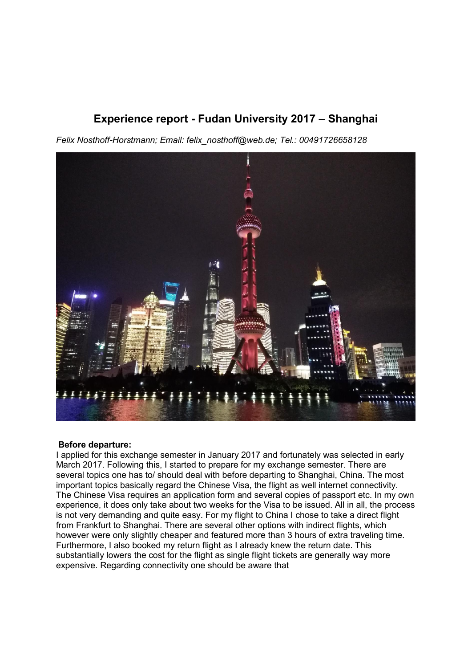# **Experience report - Fudan University 2017 ± Shanghai**

*Felix Nosthoff-Horstmann; Email: felix\_nosthoff@web.de; Tel.: 00491726658128*



### **Before departure:**

I applied for this exchange semester in January 2017 and fortunately was selected in early March 2017. Following this, I started to prepare for my exchange semester. There are several topics one has to/ should deal with before departing to Shanghai, China. The most important topics basically regard the Chinese Visa, the flight as well internet connectivity. The Chinese Visa requires an application form and several copies of passport etc. In my own experience, it does only take about two weeks for the Visa to be issued. All in all, the process is not very demanding and quite easy. For my flight to China I chose to take a direct flight from Frankfurt to Shanghai. There are several other options with indirect flights, which however were only slightly cheaper and featured more than 3 hours of extra traveling time. Furthermore, I also booked my return flight as I already knew the return date. This substantially lowers the cost for the flight as single flight tickets are generally way more expensive. Regarding connectivity one should be aware that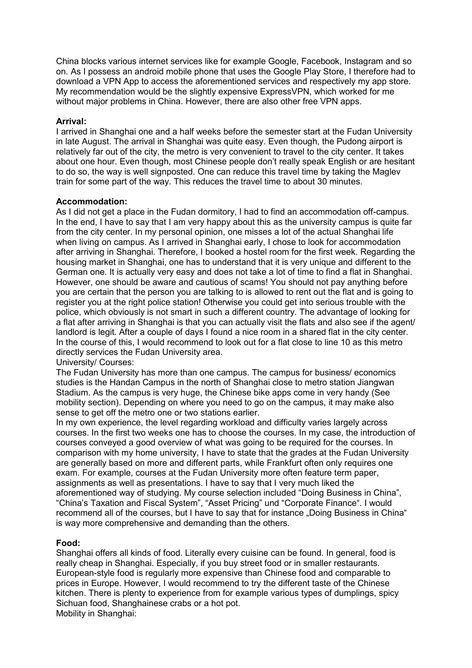China blocks various internet services like for example Google, Facebook, Instagram and so on. As I possess an android mobile phone that uses the Google Play Store, I therefore had to download a VPN App to access the aforementioned services and respectively my app store. My recommendation would be the slightly expensive ExpressVPN, which worked for me without major problems in China. However, there are also other free VPN apps.

## **Arrival:**

I arrived in Shanghai one and a half weeks before the semester start at the Fudan University in late August. The arrival in Shanghai was quite easy. Even though, the Pudong airport is relatively far out of the city, the metro is very convenient to travel to the city center. It takes about one hour. Even though, most Chinese people don't really speak English or are hesitant to do so, the way is well signposted. One can reduce this travel time by taking the Maglev train for some part of the way. This reduces the travel time to about 30 minutes.

# **Accommodation:**

As I did not get a place in the Fudan dormitory, I had to find an accommodation off-campus. In the end, I have to say that I am very happy about this as the university campus is quite far from the city center. In my personal opinion, one misses a lot of the actual Shanghai life when living on campus. As I arrived in Shanghai early, I chose to look for accommodation after arriving in Shanghai. Therefore, I booked a hostel room for the first week. Regarding the housing market in Shanghai, one has to understand that it is very unique and different to the German one. It is actually very easy and does not take a lot of time to find a flat in Shanghai. However, one should be aware and cautious of scams! You should not pay anything before you are certain that the person you are talking to is allowed to rent out the flat and is going to register you at the right police station! Otherwise you could get into serious trouble with the police, which obviously is not smart in such a different country. The advantage of looking for a flat after arriving in Shanghai is that you can actually visit the flats and also see if the agent/ landlord is legit. After a couple of days I found a nice room in a shared flat in the city center. In the course of this, I would recommend to look out for a flat close to line 10 as this metro directly services the Fudan University area.

## University/ Courses:

The Fudan University has more than one campus. The campus for business/ economics studies is the Handan Campus in the north of Shanghai close to metro station Jiangwan Stadium. As the campus is very huge, the Chinese bike apps come in very handy (See mobility section). Depending on where you need to go on the campus, it may make also sense to get off the metro one or two stations earlier.

In my own experience, the level regarding workload and difficulty varies largely across courses. In the first two weeks one has to choose the courses. In my case, the introduction of courses conveyed a good overview of what was going to be required for the courses. In comparison with my home university, I have to state that the grades at the Fudan University are generally based on more and different parts, while Frankfurt often only requires one exam. For example, courses at the Fudan University more often feature term paper, assignments as well as presentations. I have to say that I very much liked the aforementioned way of studying. My course selection included "Doing Business in China", "China's Taxation and Fiscal System", "Asset Pricing" und "Corporate Finance". I would recommend all of the courses, but I have to say that for instance "Doing Business in China" is way more comprehensive and demanding than the others.

# **Food:**

Shanghai offers all kinds of food. Literally every cuisine can be found. In general, food is really cheap in Shanghai. Especially, if you buy street food or in smaller restaurants. European-style food is regularly more expensive than Chinese food and comparable to prices in Europe. However, I would recommend to try the different taste of the Chinese kitchen. There is plenty to experience from for example various types of dumplings, spicy Sichuan food, Shanghainese crabs or a hot pot. Mobility in Shanghai: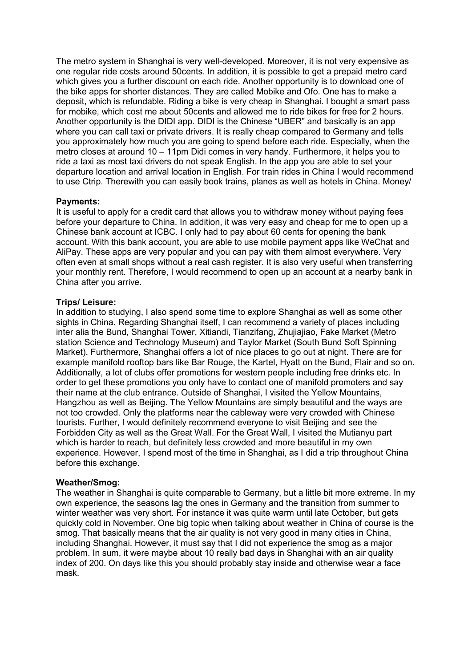The metro system in Shanghai is very well-developed. Moreover, it is not very expensive as one regular ride costs around 50cents. In addition, it is possible to get a prepaid metro card which gives you a further discount on each ride. Another opportunity is to download one of the bike apps for shorter distances. They are called Mobike and Ofo. One has to make a deposit, which is refundable. Riding a bike is very cheap in Shanghai. I bought a smart pass for mobike, which cost me about 50cents and allowed me to ride bikes for free for 2 hours. Another opportunity is the DIDI app. DIDI is the Chinese "UBER" and basically is an app where you can call taxi or private drivers. It is really cheap compared to Germany and tells you approximately how much you are going to spend before each ride. Especially, when the metro closes at around  $10 - 11$ pm Didi comes in very handy. Furthermore, it helps you to ride a taxi as most taxi drivers do not speak English. In the app you are able to set your departure location and arrival location in English. For train rides in China I would recommend to use Ctrip. Therewith you can easily book trains, planes as well as hotels in China. Money/

### **Payments:**

It is useful to apply for a credit card that allows you to withdraw money without paying fees before your departure to China. In addition, it was very easy and cheap for me to open up a Chinese bank account at ICBC. I only had to pay about 60 cents for opening the bank account. With this bank account, you are able to use mobile payment apps like WeChat and AliPay. These apps are very popular and you can pay with them almost everywhere. Very often even at small shops without a real cash register. It is also very useful when transferring your monthly rent. Therefore, I would recommend to open up an account at a nearby bank in China after you arrive.

### **Trips/ Leisure:**

In addition to studying, I also spend some time to explore Shanghai as well as some other sights in China. Regarding Shanghai itself, I can recommend a variety of places including inter alia the Bund, Shanghai Tower, Xitiandi, Tianzifang, Zhujiajiao, Fake Market (Metro station Science and Technology Museum) and Taylor Market (South Bund Soft Spinning Market). Furthermore, Shanghai offers a lot of nice places to go out at night. There are for example manifold rooftop bars like Bar Rouge, the Kartel, Hyatt on the Bund, Flair and so on. Additionally, a lot of clubs offer promotions for western people including free drinks etc. In order to get these promotions you only have to contact one of manifold promoters and say their name at the club entrance. Outside of Shanghai, I visited the Yellow Mountains, Hangzhou as well as Beijing. The Yellow Mountains are simply beautiful and the ways are not too crowded. Only the platforms near the cableway were very crowded with Chinese tourists. Further, I would definitely recommend everyone to visit Beijing and see the Forbidden City as well as the Great Wall. For the Great Wall, I visited the Mutianyu part which is harder to reach, but definitely less crowded and more beautiful in my own experience. However, I spend most of the time in Shanghai, as I did a trip throughout China before this exchange.

### **Weather/Smog:**

The weather in Shanghai is quite comparable to Germany, but a little bit more extreme. In my own experience, the seasons lag the ones in Germany and the transition from summer to winter weather was very short. For instance it was quite warm until late October, but gets quickly cold in November. One big topic when talking about weather in China of course is the smog. That basically means that the air quality is not very good in many cities in China, including Shanghai. However, it must say that I did not experience the smog as a major problem. In sum, it were maybe about 10 really bad days in Shanghai with an air quality index of 200. On days like this you should probably stay inside and otherwise wear a face mask.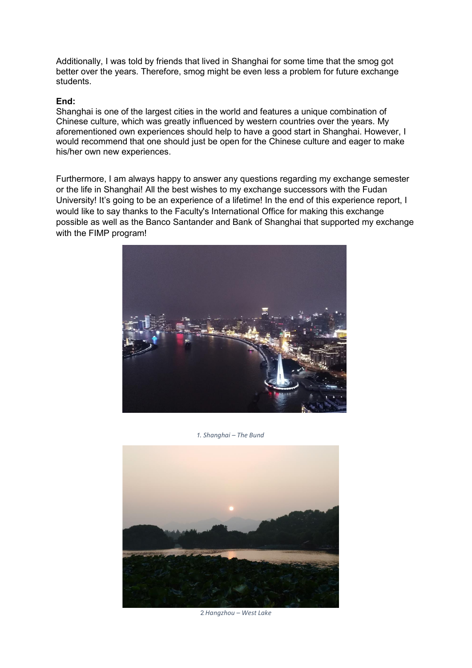Additionally, I was told by friends that lived in Shanghai for some time that the smog got better over the years. Therefore, smog might be even less a problem for future exchange students.

### **End:**

Shanghai is one of the largest cities in the world and features a unique combination of Chinese culture, which was greatly influenced by western countries over the years. My aforementioned own experiences should help to have a good start in Shanghai. However, I would recommend that one should just be open for the Chinese culture and eager to make his/her own new experiences.

Furthermore, I am always happy to answer any questions regarding my exchange semester or the life in Shanghai! All the best wishes to my exchange successors with the Fudan University! It's going to be an experience of a lifetime! In the end of this experience report, I would like to say thanks to the Faculty's International Office for making this exchange possible as well as the Banco Santander and Bank of Shanghai that supported my exchange with the FIMP program!



 *1. Shanghai ʹ The Bund*



2.*Hangzhou ʹ West Lake*